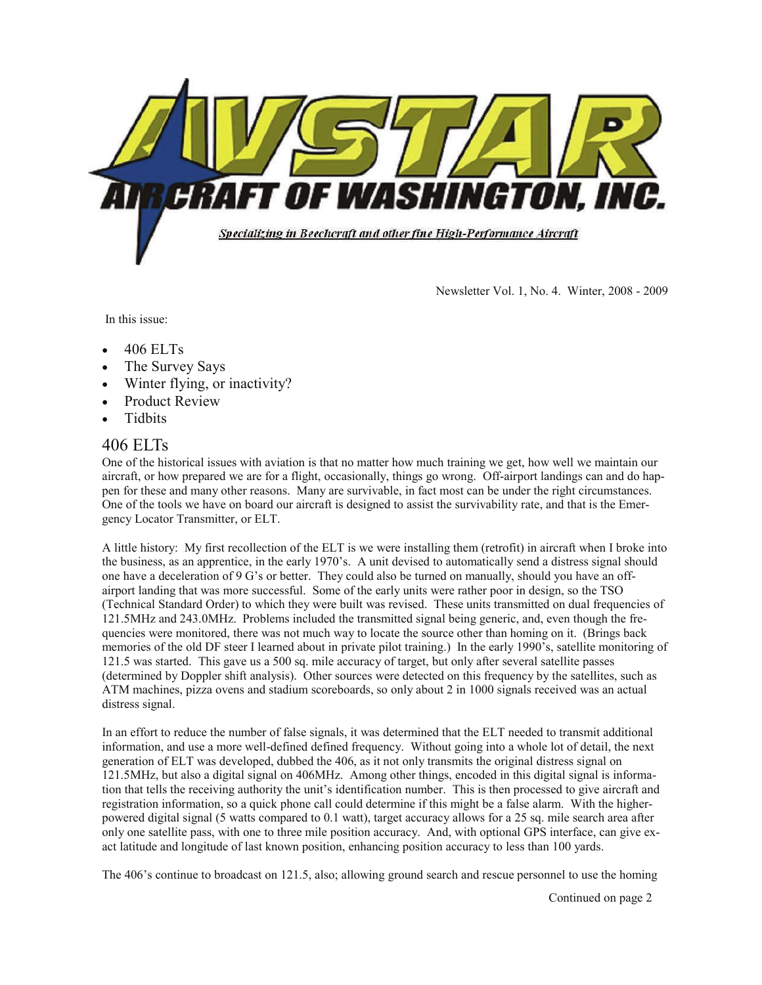

Newsletter Vol. 1, No. 4. Winter, 2008 - 2009

In this issue:

- 406 ELTs
- The Survey Says
- Winter flying, or inactivity?
- Product Review
- **Tidbits**

### 406 ELTs

One of the historical issues with aviation is that no matter how much training we get, how well we maintain our aircraft, or how prepared we are for a flight, occasionally, things go wrong. Off-airport landings can and do happen for these and many other reasons. Many are survivable, in fact most can be under the right circumstances. One of the tools we have on board our aircraft is designed to assist the survivability rate, and that is the Emergency Locator Transmitter, or ELT.

A little history: My first recollection of the ELT is we were installing them (retrofit) in aircraft when I broke into the business, as an apprentice, in the early 1970's. A unit devised to automatically send a distress signal should one have a deceleration of 9 G's or better. They could also be turned on manually, should you have an offairport landing that was more successful. Some of the early units were rather poor in design, so the TSO (Technical Standard Order) to which they were built was revised. These units transmitted on dual frequencies of 121.5MHz and 243.0MHz. Problems included the transmitted signal being generic, and, even though the frequencies were monitored, there was not much way to locate the source other than homing on it. (Brings back memories of the old DF steer I learned about in private pilot training.) In the early 1990's, satellite monitoring of 121.5 was started. This gave us a 500 sq. mile accuracy of target, but only after several satellite passes (determined by Doppler shift analysis). Other sources were detected on this frequency by the satellites, such as ATM machines, pizza ovens and stadium scoreboards, so only about 2 in 1000 signals received was an actual distress signal.

In an effort to reduce the number of false signals, it was determined that the ELT needed to transmit additional information, and use a more well-defined defined frequency. Without going into a whole lot of detail, the next generation of ELT was developed, dubbed the 406, as it not only transmits the original distress signal on 121.5MHz, but also a digital signal on 406MHz. Among other things, encoded in this digital signal is information that tells the receiving authority the unit's identification number. This is then processed to give aircraft and registration information, so a quick phone call could determine if this might be a false alarm. With the higherpowered digital signal (5 watts compared to 0.1 watt), target accuracy allows for a 25 sq. mile search area after only one satellite pass, with one to three mile position accuracy. And, with optional GPS interface, can give exact latitude and longitude of last known position, enhancing position accuracy to less than 100 yards.

The 406's continue to broadcast on 121.5, also; allowing ground search and rescue personnel to use the homing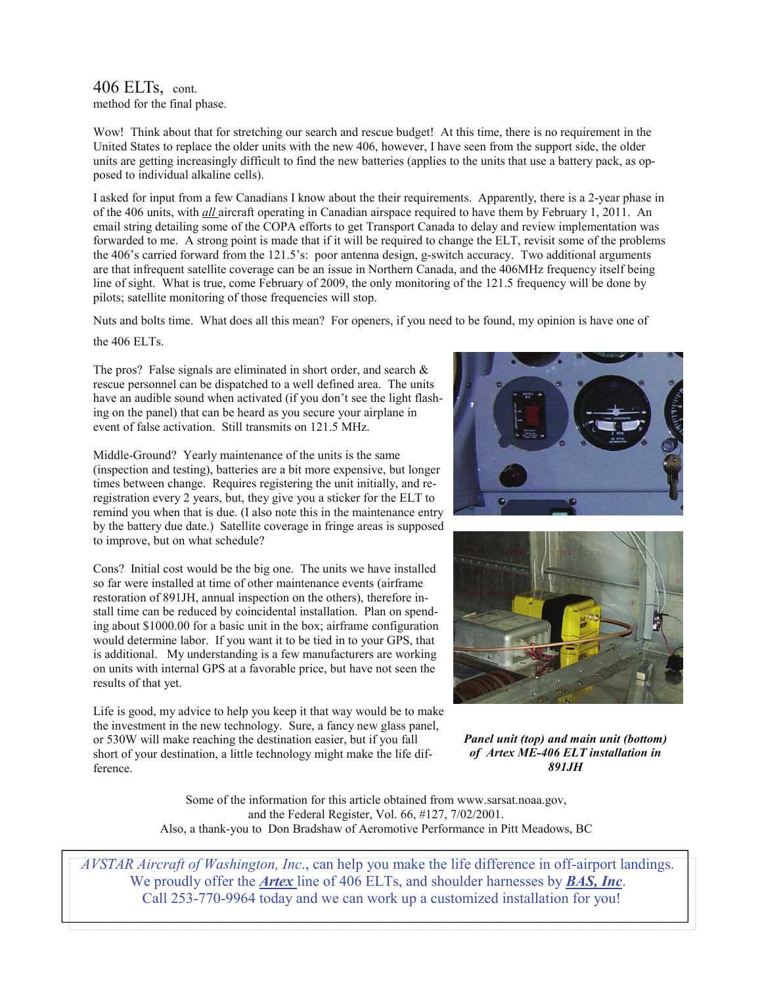#### 406 ELTs, cont. method for the final phase.

Wow! Think about that for stretching our search and rescue budget! At this time, there is no requirement in the United States to replace the older units with the new 406, however, I have seen from the support side, the older units are getting increasingly difficult to find the new batteries (applies to the units that use a battery pack, as opposed to individual alkaline cells).

I asked for input from a few Canadians I know about the their requirements. Apparently, there is a 2-year phase in of the 406 units, with *all* aircraft operating in Canadian airspace required to have them by February 1, 2011. An email string detailing some of the COPA efforts to get Transport Canada to delay and review implementation was forwarded to me. A strong point is made that if it will be required to change the ELT, revisit some of the problems the 406's carried forward from the 121.5's: poor antenna design, g-switch accuracy. Two additional arguments are that infrequent satellite coverage can be an issue in Northern Canada, and the 406MHz frequency itself being line of sight. What is true, come February of 2009, the only monitoring of the 121.5 frequency will be done by pilots; satellite monitoring of those frequencies will stop.

Nuts and bolts time. What does all this mean? For openers, if you need to be found, my opinion is have one of the 406 ELTs.

The pros? False signals are eliminated in short order, and search  $\&$ rescue personnel can be dispatched to a well defined area. The units have an audible sound when activated (if you don't see the light flashing on the panel) that can be heard as you secure your airplane in event of false activation. Still transmits on 121.5 MHz.

Middle-Ground? Yearly maintenance of the units is the same (inspection and testing), batteries are a bit more expensive, but longer times between change. Requires registering the unit initially, and reregistration every 2 years, but, they give you a sticker for the ELT to remind you when that is due. (I also note this in the maintenance entry by the battery due date.) Satellite coverage in fringe areas is supposed to improve, but on what schedule?

Cons? Initial cost would be the big one. The units we have installed so far were installed at time of other maintenance events (airframe restoration of 891JH, annual inspection on the others), therefore install time can be reduced by coincidental installation. Plan on spending about \$1000.00 for a basic unit in the box; airframe configuration would determine labor. If you want it to be tied in to your GPS, that is additional. My understanding is a few manufacturers are working on units with internal GPS at a favorable price, but have not seen the results of that yet.

Life is good, my advice to help you keep it that way would be to make the investment in the new technology. Sure, a fancy new glass panel, or 530W will make reaching the destination easier, but if you fall short of your destination, a little technology might make the life difference.





*Panel unit (top) and main unit (bottom) of Artex ME-406 ELT installation in 891JH* 

Some of the information for this article obtained from www.sarsat.noaa.gov, and the Federal Register, Vol. 66, #127, 7/02/2001. Also, a thank-you to Don Bradshaw of Aeromotive Performance in Pitt Meadows, BC

*AVSTAR Aircraft of Washington, Inc*., can help you make the life difference in off-airport landings. We proudly offer the *Artex* line of 406 ELTs, and shoulder harnesses by *BAS, Inc*. Call 253-770-9964 today and we can work up a customized installation for you!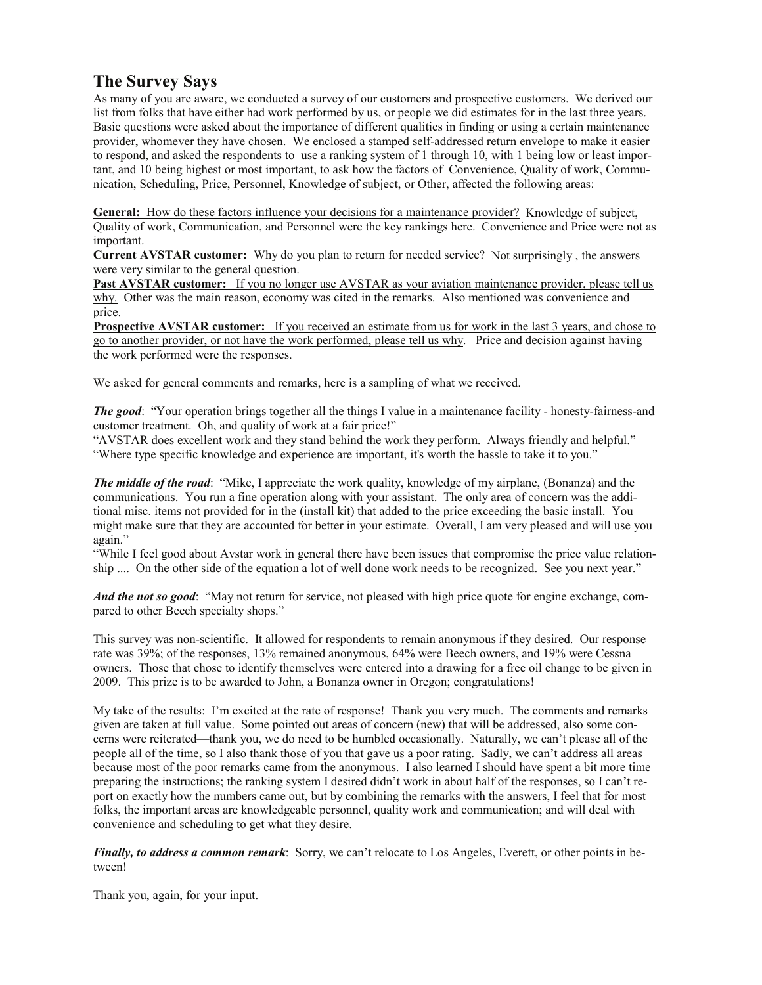## **The Survey Says**

As many of you are aware, we conducted a survey of our customers and prospective customers. We derived our list from folks that have either had work performed by us, or people we did estimates for in the last three years. Basic questions were asked about the importance of different qualities in finding or using a certain maintenance provider, whomever they have chosen. We enclosed a stamped self-addressed return envelope to make it easier to respond, and asked the respondents to use a ranking system of 1 through 10, with 1 being low or least important, and 10 being highest or most important, to ask how the factors of Convenience, Quality of work, Communication, Scheduling, Price, Personnel, Knowledge of subject, or Other, affected the following areas:

**General:** How do these factors influence your decisions for a maintenance provider? Knowledge of subject, Quality of work, Communication, and Personnel were the key rankings here. Convenience and Price were not as important.

**Current AVSTAR customer:** Why do you plan to return for needed service? Not surprisingly , the answers were very similar to the general question.

**Past AVSTAR customer:** If you no longer use AVSTAR as your aviation maintenance provider, please tell us why. Other was the main reason, economy was cited in the remarks. Also mentioned was convenience and price.

**Prospective AVSTAR customer:** If you received an estimate from us for work in the last 3 years, and chose to go to another provider, or not have the work performed, please tell us why. Price and decision against having the work performed were the responses.

We asked for general comments and remarks, here is a sampling of what we received.

*The good*: "Your operation brings together all the things I value in a maintenance facility - honesty-fairness-and customer treatment. Oh, and quality of work at a fair price!"

"AVSTAR does excellent work and they stand behind the work they perform. Always friendly and helpful." "Where type specific knowledge and experience are important, it's worth the hassle to take it to you."

*The middle of the road*: "Mike, I appreciate the work quality, knowledge of my airplane, (Bonanza) and the communications. You run a fine operation along with your assistant. The only area of concern was the additional misc. items not provided for in the (install kit) that added to the price exceeding the basic install. You might make sure that they are accounted for better in your estimate. Overall, I am very pleased and will use you again."

"While I feel good about Avstar work in general there have been issues that compromise the price value relationship .... On the other side of the equation a lot of well done work needs to be recognized. See you next year."

*And the not so good*: "May not return for service, not pleased with high price quote for engine exchange, compared to other Beech specialty shops."

This survey was non-scientific. It allowed for respondents to remain anonymous if they desired. Our response rate was 39%; of the responses, 13% remained anonymous, 64% were Beech owners, and 19% were Cessna owners. Those that chose to identify themselves were entered into a drawing for a free oil change to be given in 2009. This prize is to be awarded to John, a Bonanza owner in Oregon; congratulations!

My take of the results: I'm excited at the rate of response! Thank you very much. The comments and remarks given are taken at full value. Some pointed out areas of concern (new) that will be addressed, also some concerns were reiterated—thank you, we do need to be humbled occasionally. Naturally, we can't please all of the people all of the time, so I also thank those of you that gave us a poor rating. Sadly, we can't address all areas because most of the poor remarks came from the anonymous. I also learned I should have spent a bit more time preparing the instructions; the ranking system I desired didn't work in about half of the responses, so I can't report on exactly how the numbers came out, but by combining the remarks with the answers, I feel that for most folks, the important areas are knowledgeable personnel, quality work and communication; and will deal with convenience and scheduling to get what they desire.

*Finally, to address a common remark*: Sorry, we can't relocate to Los Angeles, Everett, or other points in between!

Thank you, again, for your input.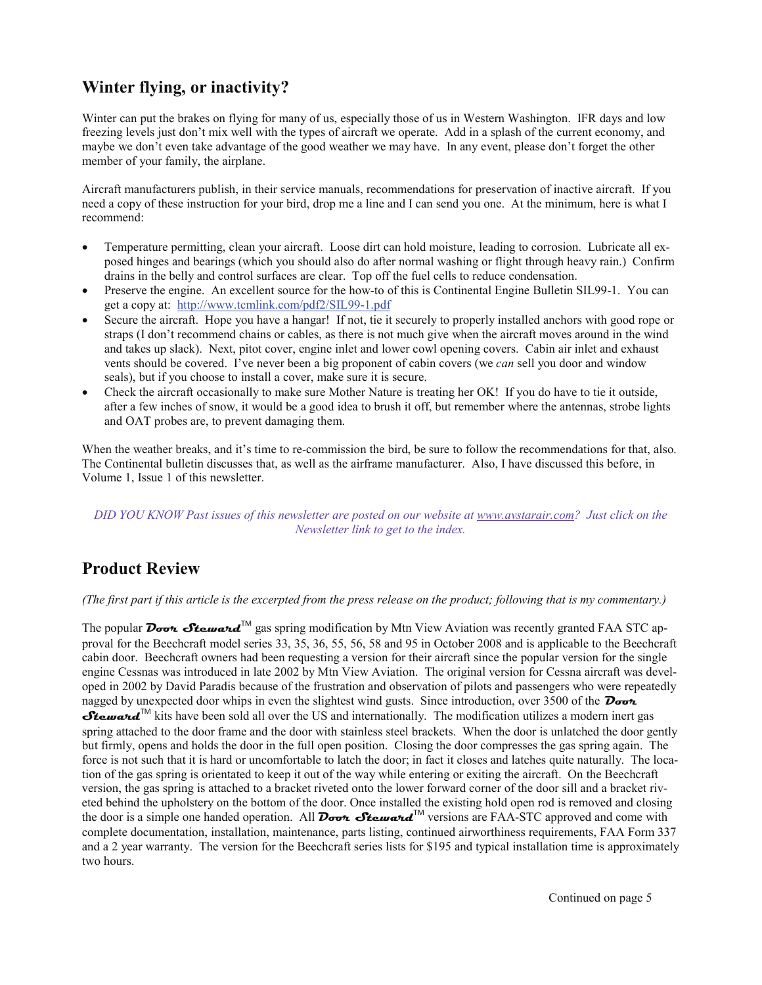# **Winter flying, or inactivity?**

Winter can put the brakes on flying for many of us, especially those of us in Western Washington. IFR days and low freezing levels just don't mix well with the types of aircraft we operate. Add in a splash of the current economy, and maybe we don't even take advantage of the good weather we may have. In any event, please don't forget the other member of your family, the airplane.

Aircraft manufacturers publish, in their service manuals, recommendations for preservation of inactive aircraft. If you need a copy of these instruction for your bird, drop me a line and I can send you one. At the minimum, here is what I recommend:

- Temperature permitting, clean your aircraft. Loose dirt can hold moisture, leading to corrosion. Lubricate all exposed hinges and bearings (which you should also do after normal washing or flight through heavy rain.) Confirm drains in the belly and control surfaces are clear. Top off the fuel cells to reduce condensation.
- Preserve the engine. An excellent source for the how-to of this is Continental Engine Bulletin SIL99-1. You can get a copy at: http://www.tcmlink.com/pdf2/SIL99-1.pdf
- Secure the aircraft. Hope you have a hangar! If not, tie it securely to properly installed anchors with good rope or straps (I don't recommend chains or cables, as there is not much give when the aircraft moves around in the wind and takes up slack). Next, pitot cover, engine inlet and lower cowl opening covers. Cabin air inlet and exhaust vents should be covered. I've never been a big proponent of cabin covers (we *can* sell you door and window seals), but if you choose to install a cover, make sure it is secure.
- Check the aircraft occasionally to make sure Mother Nature is treating her OK! If you do have to tie it outside, after a few inches of snow, it would be a good idea to brush it off, but remember where the antennas, strobe lights and OAT probes are, to prevent damaging them.

When the weather breaks, and it's time to re-commission the bird, be sure to follow the recommendations for that, also. The Continental bulletin discusses that, as well as the airframe manufacturer. Also, I have discussed this before, in Volume 1, Issue 1 of this newsletter.

#### *DID YOU KNOW Past issues of this newsletter are posted on our website at www.avstarair.com? Just click on the Newsletter link to get to the index.*

# **Product Review**

#### *(The first part if this article is the excerpted from the press release on the product; following that is my commentary.)*

The popular **Doon Steward**<sup>TM</sup> gas spring modification by Mtn View Aviation was recently granted FAA STC approval for the Beechcraft model series 33, 35, 36, 55, 56, 58 and 95 in October 2008 and is applicable to the Beechcraft cabin door. Beechcraft owners had been requesting a version for their aircraft since the popular version for the single engine Cessnas was introduced in late 2002 by Mtn View Aviation. The original version for Cessna aircraft was developed in 2002 by David Paradis because of the frustration and observation of pilots and passengers who were repeatedly nagged by unexpected door whips in even the slightest wind gusts. Since introduction, over 3500 of the **Door Steward**<sup>™</sup> kits have been sold all over the US and internationally. The modification utilizes a modern inert gas spring attached to the door frame and the door with stainless steel brackets. When the door is unlatched the door gently but firmly, opens and holds the door in the full open position. Closing the door compresses the gas spring again. The force is not such that it is hard or uncomfortable to latch the door; in fact it closes and latches quite naturally. The location of the gas spring is orientated to keep it out of the way while entering or exiting the aircraft. On the Beechcraft version, the gas spring is attached to a bracket riveted onto the lower forward corner of the door sill and a bracket riveted behind the upholstery on the bottom of the door. Once installed the existing hold open rod is removed and closing the door is a simple one handed operation. All **Doot Steward**™ versions are FAA-STC approved and come with complete documentation, installation, maintenance, parts listing, continued airworthiness requirements, FAA Form 337 and a 2 year warranty. The version for the Beechcraft series lists for \$195 and typical installation time is approximately two hours.